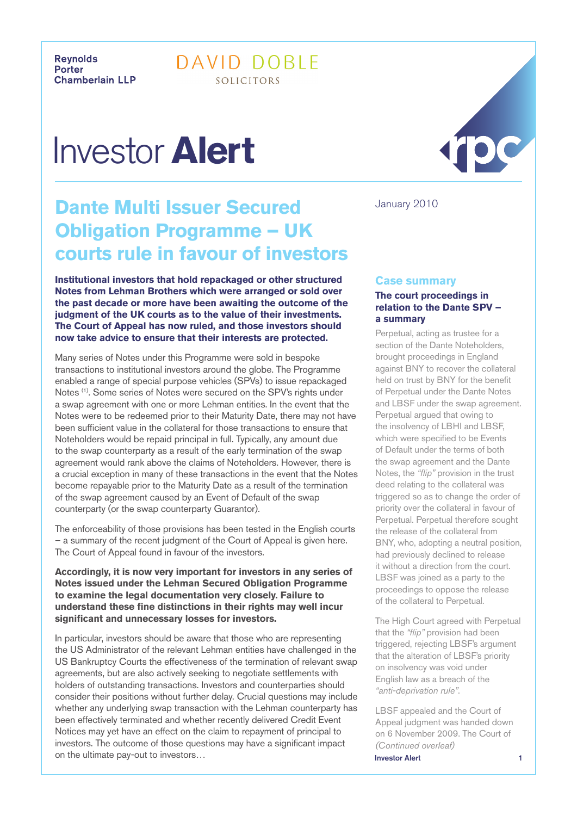**Reynolds** Porter Chamberlain LLP DAVID DOBLE SOLICITORS

# Investor **Alert**

## **Dante Multi Issuer Secured Obligation Programme – UK courts rule in favour of investors**

**Institutional investors that hold repackaged or other structured Notes from Lehman Brothers which were arranged or sold over the past decade or more have been awaiting the outcome of the judgment of the UK courts as to the value of their investments. The Court of Appeal has now ruled, and those investors should now take advice to ensure that their interests are protected.**

Many series of Notes under this Programme were sold in bespoke transactions to institutional investors around the globe. The Programme enabled a range of special purpose vehicles (SPVs) to issue repackaged Notes <sup>(1)</sup>. Some series of Notes were secured on the SPV's rights under a swap agreement with one or more Lehman entities. In the event that the Notes were to be redeemed prior to their Maturity Date, there may not have been sufficient value in the collateral for those transactions to ensure that Noteholders would be repaid principal in full. Typically, any amount due to the swap counterparty as a result of the early termination of the swap agreement would rank above the claims of Noteholders. However, there is a crucial exception in many of these transactions in the event that the Notes become repayable prior to the Maturity Date as a result of the termination of the swap agreement caused by an Event of Default of the swap counterparty (or the swap counterparty Guarantor).

The enforceability of those provisions has been tested in the English courts – a summary of the recent judgment of the Court of Appeal is given here. The Court of Appeal found in favour of the investors.

**Accordingly, it is now very important for investors in any series of Notes issued under the Lehman Secured Obligation Programme to examine the legal documentation very closely. Failure to understand these fine distinctions in their rights may well incur significant and unnecessary losses for investors.** 

In particular, investors should be aware that those who are representing the US Administrator of the relevant Lehman entities have challenged in the US Bankruptcy Courts the effectiveness of the termination of relevant swap agreements, but are also actively seeking to negotiate settlements with holders of outstanding transactions. Investors and counterparties should consider their positions without further delay. Crucial questions may include whether any underlying swap transaction with the Lehman counterparty has been effectively terminated and whether recently delivered Credit Event Notices may yet have an effect on the claim to repayment of principal to investors. The outcome of those questions may have a significant impact on the ultimate pay-out to investors…



January 2010

#### **Case summary**

#### **The court proceedings in relation to the Dante SPV – a summary**

Perpetual, acting as trustee for a section of the Dante Noteholders, brought proceedings in England against BNY to recover the collateral held on trust by BNY for the benefit of Perpetual under the Dante Notes and LBSF under the swap agreement. Perpetual argued that owing to the insolvency of LBHI and LBSF, which were specified to be Events of Default under the terms of both the swap agreement and the Dante Notes, the *"flip"* provision in the trust deed relating to the collateral was triggered so as to change the order of priority over the collateral in favour of Perpetual. Perpetual therefore sought the release of the collateral from BNY, who, adopting a neutral position, had previously declined to release it without a direction from the court. LBSF was joined as a party to the proceedings to oppose the release of the collateral to Perpetual.

The High Court agreed with Perpetual that the *"flip"* provision had been triggered, rejecting LBSF's argument that the alteration of LBSF's priority on insolvency was void under English law as a breach of the *"anti-deprivation rule"*.

**Investor Alert** 1 LBSF appealed and the Court of Appeal judgment was handed down on 6 November 2009. The Court of *(Continued overleaf)*